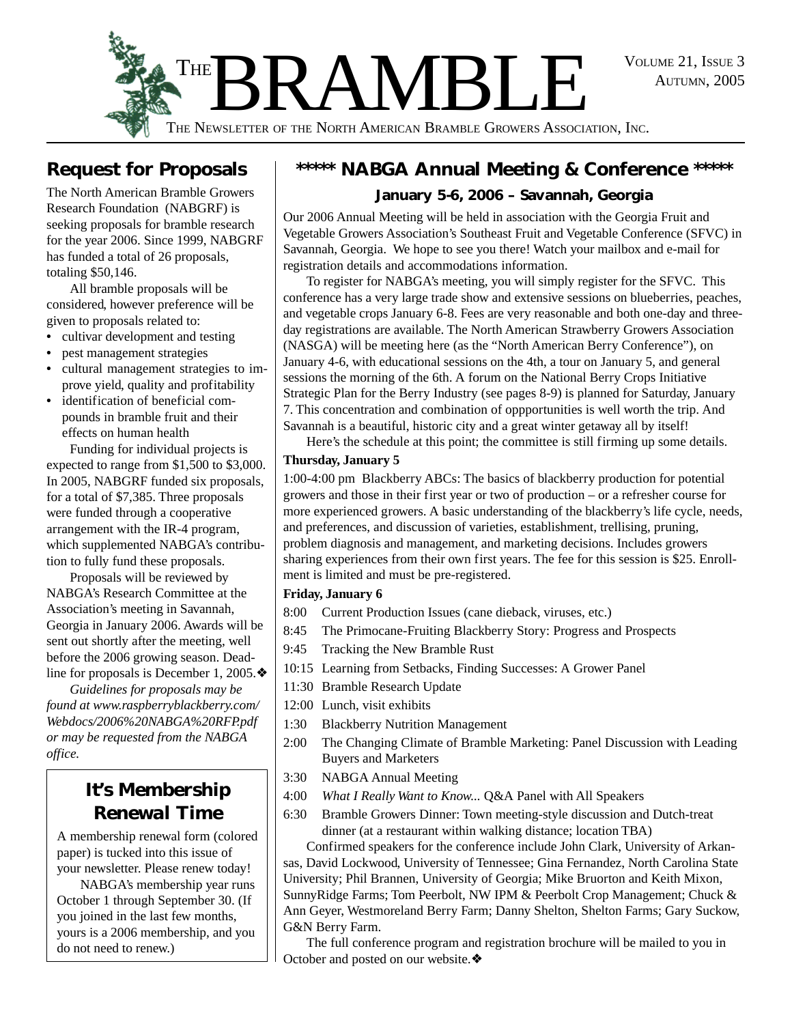AUTUMN, 2005



THE NEWSLETTER OF THE NORTH AMERICAN BRAMBLE GROWERS ASSOCIATION, INC.

### **Request for Proposals**

The North American Bramble Growers Research Foundation (NABGRF) is seeking proposals for bramble research for the year 2006. Since 1999, NABGRF has funded a total of 26 proposals, totaling \$50,146.

All bramble proposals will be considered, however preference will be given to proposals related to:

- cultivar development and testing
- **•** pest management strategies
- **•** cultural management strategies to improve yield, quality and profitability
- **•** identification of beneficial compounds in bramble fruit and their effects on human health

Funding for individual projects is expected to range from \$1,500 to \$3,000. In 2005, NABGRF funded six proposals, for a total of \$7,385. Three proposals were funded through a cooperative arrangement with the IR-4 program, which supplemented NABGA's contribution to fully fund these proposals.

Proposals will be reviewed by NABGA's Research Committee at the Association's meeting in Savannah, Georgia in January 2006. Awards will be sent out shortly after the meeting, well before the 2006 growing season. Deadline for proposals is December 1, 2005.❖

*Guidelines for proposals may be found at www.raspberryblackberry.com/ Webdocs/2006%20NABGA%20RFP.pdf or may be requested from the NABGA office.*

### *It's Membership Renewal Time*

A membership renewal form (colored paper) is tucked into this issue of your newsletter. Please renew today!

NABGA's membership year runs October 1 through September 30. (If you joined in the last few months, yours is a 2006 membership, and you do not need to renew.)

## **\*\*\*\*\* NABGA Annual Meeting & Conference \*\*\*\*\***

### **January 5-6, 2006 – Savannah, Georgia**

Our 2006 Annual Meeting will be held in association with the Georgia Fruit and Vegetable Growers Association's Southeast Fruit and Vegetable Conference (SFVC) in Savannah, Georgia. We hope to see you there! Watch your mailbox and e-mail for registration details and accommodations information.

To register for NABGA's meeting, you will simply register for the SFVC. This conference has a very large trade show and extensive sessions on blueberries, peaches, and vegetable crops January 6-8. Fees are very reasonable and both one-day and threeday registrations are available. The North American Strawberry Growers Association (NASGA) will be meeting here (as the "North American Berry Conference"), on January 4-6, with educational sessions on the 4th, a tour on January 5, and general sessions the morning of the 6th. A forum on the National Berry Crops Initiative Strategic Plan for the Berry Industry (see pages 8-9) is planned for Saturday, January 7. This concentration and combination of oppportunities is well worth the trip. And Savannah is a beautiful, historic city and a great winter getaway all by itself!

Here's the schedule at this point; the committee is still firming up some details.

#### **Thursday, January 5**

1:00-4:00 pm Blackberry ABCs: The basics of blackberry production for potential growers and those in their first year or two of production – or a refresher course for more experienced growers. A basic understanding of the blackberry's life cycle, needs, and preferences, and discussion of varieties, establishment, trellising, pruning, problem diagnosis and management, and marketing decisions. Includes growers sharing experiences from their own first years. The fee for this session is \$25. Enrollment is limited and must be pre-registered.

#### **Friday, January 6**

- 8:00 Current Production Issues (cane dieback, viruses, etc.)
- 8:45 The Primocane-Fruiting Blackberry Story: Progress and Prospects
- 9:45 Tracking the New Bramble Rust
- 10:15 Learning from Setbacks, Finding Successes: A Grower Panel
- 11:30 Bramble Research Update
- 12:00 Lunch, visit exhibits
- 1:30 Blackberry Nutrition Management
- 2:00 The Changing Climate of Bramble Marketing: Panel Discussion with Leading Buyers and Marketers
- 3:30 NABGA Annual Meeting
- 4:00 *What I Really Want to Know...* Q&A Panel with All Speakers
- 6:30 Bramble Growers Dinner: Town meeting-style discussion and Dutch-treat dinner (at a restaurant within walking distance; location TBA)

Confirmed speakers for the conference include John Clark, University of Arkansas, David Lockwood, University of Tennessee; Gina Fernandez, North Carolina State University; Phil Brannen, University of Georgia; Mike Bruorton and Keith Mixon, SunnyRidge Farms; Tom Peerbolt, NW IPM & Peerbolt Crop Management; Chuck & Ann Geyer, Westmoreland Berry Farm; Danny Shelton, Shelton Farms; Gary Suckow, G&N Berry Farm.

The full conference program and registration brochure will be mailed to you in October and posted on our website.❖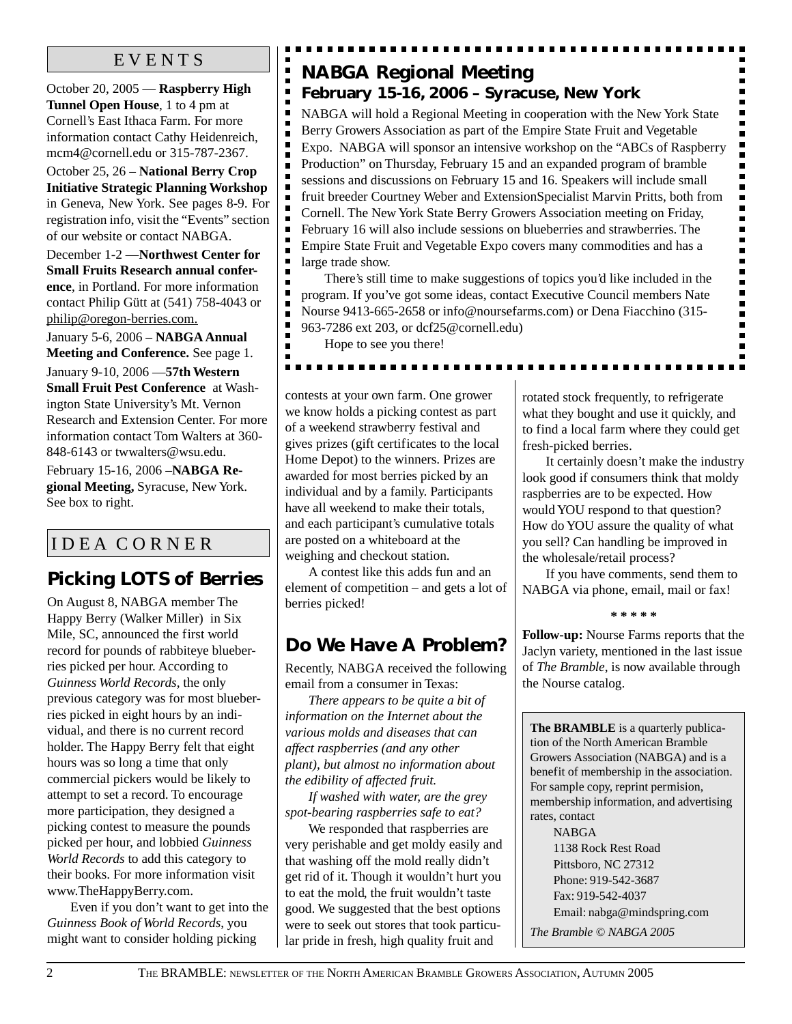October 20, 2005 — **Raspberry High Tunnel Open House**, 1 to 4 pm at Cornell's East Ithaca Farm. For more information contact Cathy Heidenreich, mcm4@cornell.edu or 315-787-2367.

October 25, 26 – **National Berry Crop Initiative Strategic Planning Workshop** in Geneva, New York. See pages 8-9. For registration info, visit the "Events" section of our website or contact NABGA.

December 1-2 —**Northwest Center for Small Fruits Research annual conference**, in Portland. For more information contact Philip Gütt at (541) 758-4043 or philip@oregon-berries.com.

January 5-6, 2006 – **NABGA Annual Meeting and Conference.** See page 1.

January 9-10, 2006 —**57th Western Small Fruit Pest Conference** at Washington State University's Mt. Vernon Research and Extension Center. For more information contact Tom Walters at 360- 848-6143 or twwalters@wsu.edu.

February 15-16, 2006 –**NABGA Regional Meeting,** Syracuse, New York. See box to right.

### I D E A C O R N E R

### **Picking LOTS of Berries**

On August 8, NABGA member The Happy Berry (Walker Miller) in Six Mile, SC, announced the first world record for pounds of rabbiteye blueberries picked per hour. According to *Guinness World Records*, the only previous category was for most blueberries picked in eight hours by an individual, and there is no current record holder. The Happy Berry felt that eight hours was so long a time that only commercial pickers would be likely to attempt to set a record. To encourage more participation, they designed a picking contest to measure the pounds picked per hour, and lobbied *Guinness World Records* to add this category to their books. For more information visit www.TheHappyBerry.com.

Even if you don't want to get into the *Guinness Book of World Records*, you might want to consider holding picking

### EVENTS **NABGA Regional Meeting February 15-16, 2006 – Syracuse, New York**

NABGA will hold a Regional Meeting in cooperation with the New York State Berry Growers Association as part of the Empire State Fruit and Vegetable Expo. NABGA will sponsor an intensive workshop on the "ABCs of Raspberry Production" on Thursday, February 15 and an expanded program of bramble sessions and discussions on February 15 and 16. Speakers will include small fruit breeder Courtney Weber and ExtensionSpecialist Marvin Pritts, both from Cornell. The New York State Berry Growers Association meeting on Friday, February 16 will also include sessions on blueberries and strawberries. The Empire State Fruit and Vegetable Expo covers many commodities and has a large trade show.

There's still time to make suggestions of topics you'd like included in the program. If you've got some ideas, contact Executive Council members Nate Nourse 9413-665-2658 or info@noursefarms.com) or Dena Fiacchino (315- 963-7286 ext 203, or dcf25@cornell.edu)

Hope to see you there!

п

É

Ē

п

. . . . . .

contests at your own farm. One grower we know holds a picking contest as part of a weekend strawberry festival and gives prizes (gift certificates to the local Home Depot) to the winners. Prizes are awarded for most berries picked by an individual and by a family. Participants have all weekend to make their totals, and each participant's cumulative totals are posted on a whiteboard at the weighing and checkout station.

A contest like this adds fun and an element of competition – and gets a lot of berries picked!

### **Do We Have A Problem?**

Recently, NABGA received the following email from a consumer in Texas:

*There appears to be quite a bit of information on the Internet about the various molds and diseases that can affect raspberries (and any other plant), but almost no information about the edibility of affected fruit.*

*If washed with water, are the grey spot-bearing raspberries safe to eat?*

We responded that raspberries are very perishable and get moldy easily and that washing off the mold really didn't get rid of it. Though it wouldn't hurt you to eat the mold, the fruit wouldn't taste good. We suggested that the best options were to seek out stores that took particular pride in fresh, high quality fruit and

rotated stock frequently, to refrigerate what they bought and use it quickly, and to find a local farm where they could get fresh-picked berries.

 $\blacksquare$ 

 $\blacksquare$  $\blacksquare$  $\blacksquare$  $\blacksquare$  $\blacksquare$  $\blacksquare$  $\blacksquare$  $\blacksquare$ 

 $\blacksquare$ 

 $\blacksquare$  $\begin{array}{c} \hline \end{array}$  $\blacksquare$ 

 $\blacksquare$ 

It certainly doesn't make the industry look good if consumers think that moldy raspberries are to be expected. How would YOU respond to that question? How do YOU assure the quality of what you sell? Can handling be improved in the wholesale/retail process?

If you have comments, send them to NABGA via phone, email, mail or fax!

**\* \* \* \* \***

**Follow-up:** Nourse Farms reports that the Jaclyn variety, mentioned in the last issue of *The Bramble*, is now available through the Nourse catalog.

**The BRAMBLE** is a quarterly publication of the North American Bramble Growers Association (NABGA) and is a benefit of membership in the association. For sample copy, reprint permision, membership information, and advertising rates, contact

NABGA 1138 Rock Rest Road Pittsboro, NC 27312 Phone: 919-542-3687 Fax: 919-542-4037 Email: nabga@mindspring.com *The Bramble © NABGA 2005*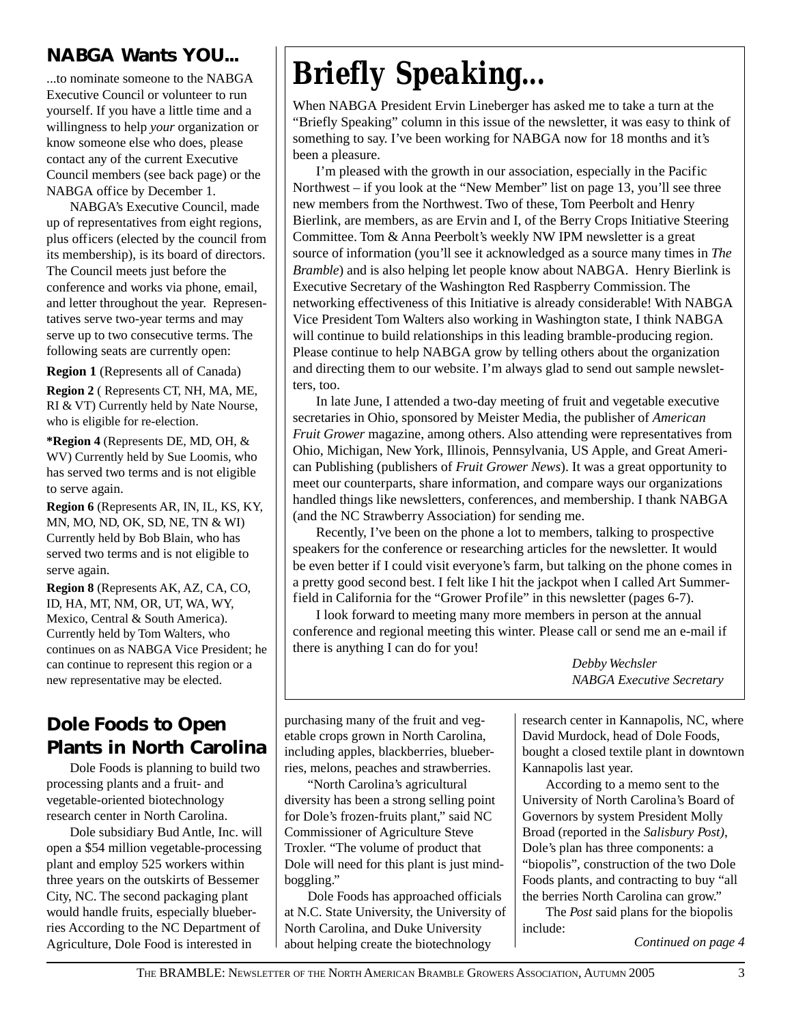### **NABGA Wants YOU...**

...to nominate someone to the NABGA Executive Council or volunteer to run yourself. If you have a little time and a willingness to help *your* organization or know someone else who does, please contact any of the current Executive Council members (see back page) or the NABGA office by December 1.

NABGA's Executive Council, made up of representatives from eight regions, plus officers (elected by the council from its membership), is its board of directors. The Council meets just before the conference and works via phone, email, and letter throughout the year. Representatives serve two-year terms and may serve up to two consecutive terms. The following seats are currently open:

**Region 1** (Represents all of Canada)

**Region 2** ( Represents CT, NH, MA, ME, RI & VT) Currently held by Nate Nourse, who is eligible for re-election.

**\*Region 4** (Represents DE, MD, OH, & WV) Currently held by Sue Loomis, who has served two terms and is not eligible to serve again.

**Region 6** (Represents AR, IN, IL, KS, KY, MN, MO, ND, OK, SD, NE, TN & WI) Currently held by Bob Blain, who has served two terms and is not eligible to serve again.

**Region 8** (Represents AK, AZ, CA, CO, ID, HA, MT, NM, OR, UT, WA, WY, Mexico, Central & South America). Currently held by Tom Walters, who continues on as NABGA Vice President; he can continue to represent this region or a new representative may be elected.

### **Dole Foods to Open Plants in North Carolina**

Dole Foods is planning to build two processing plants and a fruit- and vegetable-oriented biotechnology research center in North Carolina.

Dole subsidiary Bud Antle, Inc. will open a \$54 million vegetable-processing plant and employ 525 workers within three years on the outskirts of Bessemer City, NC. The second packaging plant would handle fruits, especially blueberries According to the NC Department of Agriculture, Dole Food is interested in

# *Briefly Speaking...*

When NABGA President Ervin Lineberger has asked me to take a turn at the "Briefly Speaking" column in this issue of the newsletter, it was easy to think of something to say. I've been working for NABGA now for 18 months and it's been a pleasure.

I'm pleased with the growth in our association, especially in the Pacific Northwest – if you look at the "New Member" list on page 13, you'll see three new members from the Northwest. Two of these, Tom Peerbolt and Henry Bierlink, are members, as are Ervin and I, of the Berry Crops Initiative Steering Committee. Tom & Anna Peerbolt's weekly NW IPM newsletter is a great source of information (you'll see it acknowledged as a source many times in *The Bramble*) and is also helping let people know about NABGA. Henry Bierlink is Executive Secretary of the Washington Red Raspberry Commission. The networking effectiveness of this Initiative is already considerable! With NABGA Vice President Tom Walters also working in Washington state, I think NABGA will continue to build relationships in this leading bramble-producing region. Please continue to help NABGA grow by telling others about the organization and directing them to our website. I'm always glad to send out sample newsletters, too.

In late June, I attended a two-day meeting of fruit and vegetable executive secretaries in Ohio, sponsored by Meister Media, the publisher of *American Fruit Grower* magazine, among others. Also attending were representatives from Ohio, Michigan, New York, Illinois, Pennsylvania, US Apple, and Great American Publishing (publishers of *Fruit Grower News*). It was a great opportunity to meet our counterparts, share information, and compare ways our organizations handled things like newsletters, conferences, and membership. I thank NABGA (and the NC Strawberry Association) for sending me.

Recently, I've been on the phone a lot to members, talking to prospective speakers for the conference or researching articles for the newsletter. It would be even better if I could visit everyone's farm, but talking on the phone comes in a pretty good second best. I felt like I hit the jackpot when I called Art Summerfield in California for the "Grower Profile" in this newsletter (pages 6-7).

I look forward to meeting many more members in person at the annual conference and regional meeting this winter. Please call or send me an e-mail if there is anything I can do for you!

> *Debby Wechsler NABGA Executive Secretary*

purchasing many of the fruit and vegetable crops grown in North Carolina, including apples, blackberries, blueberries, melons, peaches and strawberries.

"North Carolina's agricultural diversity has been a strong selling point for Dole's frozen-fruits plant," said NC Commissioner of Agriculture Steve Troxler. "The volume of product that Dole will need for this plant is just mindboggling."

Dole Foods has approached officials at N.C. State University, the University of North Carolina, and Duke University about helping create the biotechnology

research center in Kannapolis, NC, where David Murdock, head of Dole Foods, bought a closed textile plant in downtown Kannapolis last year.

According to a memo sent to the University of North Carolina's Board of Governors by system President Molly Broad (reported in the *Salisbury Post)*, Dole's plan has three components: a "biopolis", construction of the two Dole Foods plants, and contracting to buy "all the berries North Carolina can grow."

The *Post* said plans for the biopolis include:

*Continued on page 4*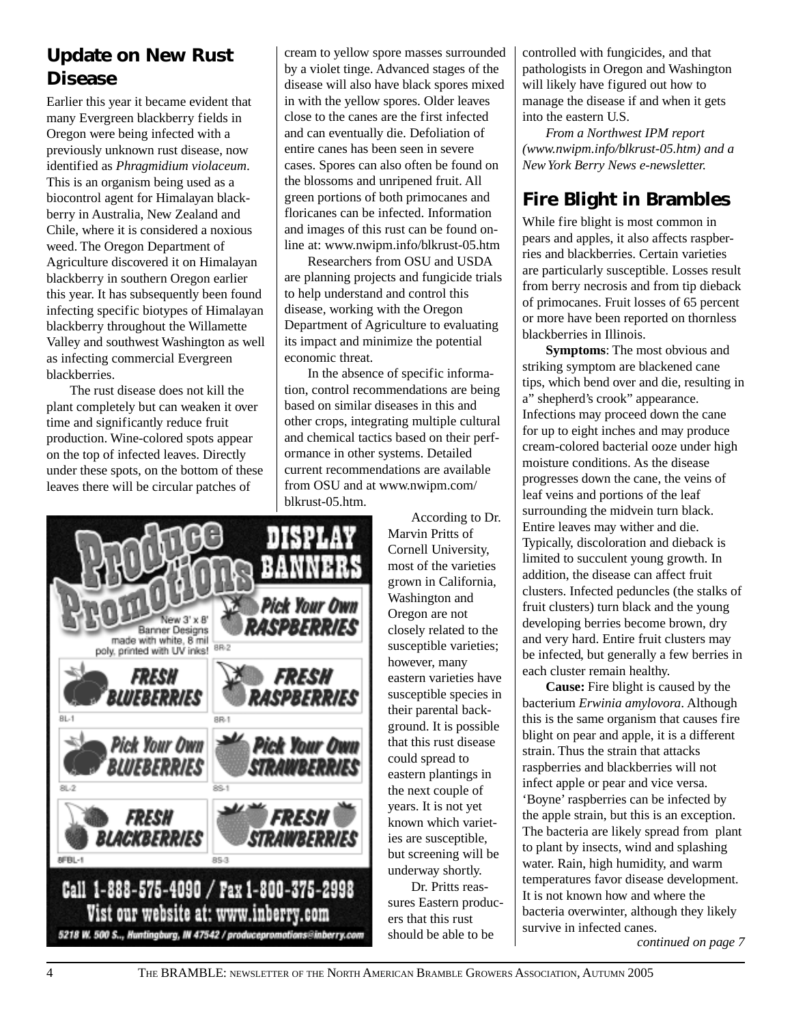### **Update on New Rust Disease**

Earlier this year it became evident that many Evergreen blackberry fields in Oregon were being infected with a previously unknown rust disease, now identified as *Phragmidium violaceum*. This is an organism being used as a biocontrol agent for Himalayan blackberry in Australia, New Zealand and Chile, where it is considered a noxious weed. The Oregon Department of Agriculture discovered it on Himalayan blackberry in southern Oregon earlier this year. It has subsequently been found infecting specific biotypes of Himalayan blackberry throughout the Willamette Valley and southwest Washington as well as infecting commercial Evergreen blackberries.

The rust disease does not kill the plant completely but can weaken it over time and significantly reduce fruit production. Wine-colored spots appear on the top of infected leaves. Directly under these spots, on the bottom of these leaves there will be circular patches of

cream to yellow spore masses surrounded by a violet tinge. Advanced stages of the disease will also have black spores mixed in with the yellow spores. Older leaves close to the canes are the first infected and can eventually die. Defoliation of entire canes has been seen in severe cases. Spores can also often be found on the blossoms and unripened fruit. All green portions of both primocanes and floricanes can be infected. Information and images of this rust can be found online at: www.nwipm.info/blkrust-05.htm

Researchers from OSU and USDA are planning projects and fungicide trials to help understand and control this disease, working with the Oregon Department of Agriculture to evaluating its impact and minimize the potential economic threat.

In the absence of specific information, control recommendations are being based on similar diseases in this and other crops, integrating multiple cultural and chemical tactics based on their performance in other systems. Detailed current recommendations are available from OSU and at www.nwipm.com/ blkrust-05.htm.

According to Dr. Marvin Pritts of Cornell University, most of the varieties grown in California, Washington and Oregon are not closely related to the susceptible varieties; however, many eastern varieties have susceptible species in their parental background. It is possible that this rust disease could spread to eastern plantings in the next couple of years. It is not yet known which varieties are susceptible, but screening will be underway shortly.

Dr. Pritts reassures Eastern producers that this rust should be able to be

controlled with fungicides, and that pathologists in Oregon and Washington will likely have figured out how to manage the disease if and when it gets into the eastern U.S.

*From a Northwest IPM report (www.nwipm.info/blkrust-05.htm) and a New York Berry News e-newsletter.*

### **Fire Blight in Brambles**

While fire blight is most common in pears and apples, it also affects raspberries and blackberries. Certain varieties are particularly susceptible. Losses result from berry necrosis and from tip dieback of primocanes. Fruit losses of 65 percent or more have been reported on thornless blackberries in Illinois.

**Symptoms**: The most obvious and striking symptom are blackened cane tips, which bend over and die, resulting in a" shepherd's crook" appearance. Infections may proceed down the cane for up to eight inches and may produce cream-colored bacterial ooze under high moisture conditions. As the disease progresses down the cane, the veins of leaf veins and portions of the leaf surrounding the midvein turn black. Entire leaves may wither and die. Typically, discoloration and dieback is limited to succulent young growth. In addition, the disease can affect fruit clusters. Infected peduncles (the stalks of fruit clusters) turn black and the young developing berries become brown, dry and very hard. Entire fruit clusters may be infected, but generally a few berries in each cluster remain healthy.

**Cause:** Fire blight is caused by the bacterium *Erwinia amylovora*. Although this is the same organism that causes fire blight on pear and apple, it is a different strain. Thus the strain that attacks raspberries and blackberries will not infect apple or pear and vice versa. 'Boyne' raspberries can be infected by the apple strain, but this is an exception. The bacteria are likely spread from plant to plant by insects, wind and splashing water. Rain, high humidity, and warm temperatures favor disease development. It is not known how and where the bacteria overwinter, although they likely survive in infected canes.

*continued on page 7*



4 THE BRAMBLE: NEWSLETTER OF THE NORTH AMERICAN BRAMBLE GROWERS ASSOCIATION, AUTUMN 2005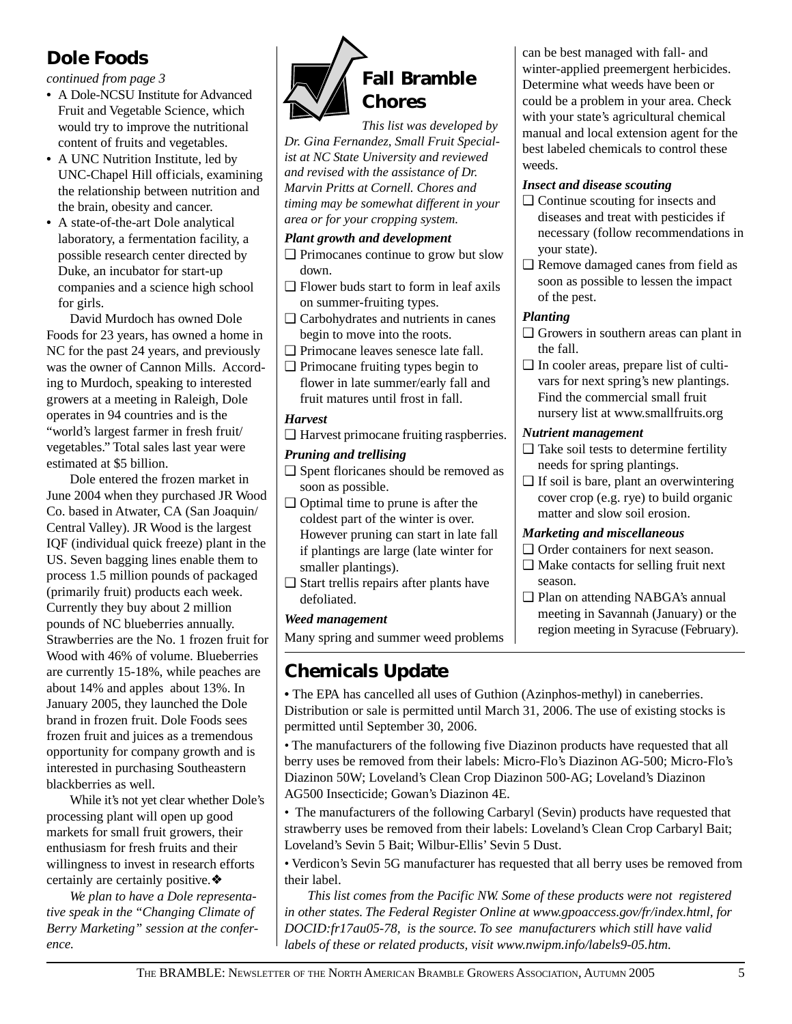### **Dole Foods**

*continued from page 3*

- **•** A Dole-NCSU Institute for Advanced Fruit and Vegetable Science, which would try to improve the nutritional content of fruits and vegetables.
- **•** A UNC Nutrition Institute, led by UNC-Chapel Hill officials, examining the relationship between nutrition and the brain, obesity and cancer.
- **•** A state-of-the-art Dole analytical laboratory, a fermentation facility, a possible research center directed by Duke, an incubator for start-up companies and a science high school for girls.

David Murdoch has owned Dole Foods for 23 years, has owned a home in NC for the past 24 years, and previously was the owner of Cannon Mills. According to Murdoch, speaking to interested growers at a meeting in Raleigh, Dole operates in 94 countries and is the "world's largest farmer in fresh fruit/ vegetables." Total sales last year were estimated at \$5 billion.

Dole entered the frozen market in June 2004 when they purchased JR Wood Co. based in Atwater, CA (San Joaquin/ Central Valley). JR Wood is the largest IQF (individual quick freeze) plant in the US. Seven bagging lines enable them to process 1.5 million pounds of packaged (primarily fruit) products each week. Currently they buy about 2 million pounds of NC blueberries annually. Strawberries are the No. 1 frozen fruit for Wood with 46% of volume. Blueberries are currently 15-18%, while peaches are about 14% and apples about 13%. In January 2005, they launched the Dole brand in frozen fruit. Dole Foods sees frozen fruit and juices as a tremendous opportunity for company growth and is interested in purchasing Southeastern blackberries as well.

While it's not yet clear whether Dole's processing plant will open up good markets for small fruit growers, their enthusiasm for fresh fruits and their willingness to invest in research efforts certainly are certainly positive.❖

*We plan to have a Dole representative speak in the "Changing Climate of Berry Marketing" session at the conference.*



*This list was developed by Dr. Gina Fernandez, Small Fruit Specialist at NC State University and reviewed and revised with the assistance of Dr. Marvin Pritts at Cornell. Chores and timing may be somewhat different in your area or for your cropping system.*

#### *Plant growth and development*

- ❑ Primocanes continue to grow but slow down.
- ❑ Flower buds start to form in leaf axils on summer-fruiting types.
- ❑ Carbohydrates and nutrients in canes begin to move into the roots.
- ❑ Primocane leaves senesce late fall.
- ❑ Primocane fruiting types begin to flower in late summer/early fall and fruit matures until frost in fall.

#### *Harvest*

❑ Harvest primocane fruiting raspberries.

#### *Pruning and trellising*

- ❑ Spent floricanes should be removed as soon as possible.
- ❑ Optimal time to prune is after the coldest part of the winter is over. However pruning can start in late fall if plantings are large (late winter for smaller plantings).
- ❑ Start trellis repairs after plants have defoliated.

#### *Weed management*

Many spring and summer weed problems

### **Chemicals Update**

**•** The EPA has cancelled all uses of Guthion (Azinphos-methyl) in caneberries. Distribution or sale is permitted until March 31, 2006. The use of existing stocks is permitted until September 30, 2006.

• The manufacturers of the following five Diazinon products have requested that all berry uses be removed from their labels: Micro-Flo's Diazinon AG-500; Micro-Flo's Diazinon 50W; Loveland's Clean Crop Diazinon 500-AG; Loveland's Diazinon AG500 Insecticide; Gowan's Diazinon 4E.

• The manufacturers of the following Carbaryl (Sevin) products have requested that strawberry uses be removed from their labels: Loveland's Clean Crop Carbaryl Bait; Loveland's Sevin 5 Bait; Wilbur-Ellis' Sevin 5 Dust.

• Verdicon's Sevin 5G manufacturer has requested that all berry uses be removed from their label.

*This list comes from the Pacific NW. Some of these products were not registered in other states. The Federal Register Online at www.gpoaccess.gov/fr/index.html, for DOCID:fr17au05-78, is the source. To see manufacturers which still have valid labels of these or related products, visit www.nwipm.info/labels9-05.htm.*

can be best managed with fall- and winter-applied preemergent herbicides. Determine what weeds have been or could be a problem in your area. Check with your state's agricultural chemical manual and local extension agent for the best labeled chemicals to control these weeds.

#### *Insect and disease scouting*

- ❑ Continue scouting for insects and diseases and treat with pesticides if necessary (follow recommendations in your state).
- ❑ Remove damaged canes from field as soon as possible to lessen the impact of the pest.

#### *Planting*

- ❑ Growers in southern areas can plant in the fall.
- ❑ In cooler areas, prepare list of cultivars for next spring's new plantings. Find the commercial small fruit nursery list at www.smallfruits.org

#### *Nutrient management*

- ❑ Take soil tests to determine fertility needs for spring plantings.
- $\Box$  If soil is bare, plant an overwintering cover crop (e.g. rye) to build organic matter and slow soil erosion.

#### *Marketing and miscellaneous*

- □ Order containers for next season.
- ❑ Make contacts for selling fruit next season.
- ❑ Plan on attending NABGA's annual meeting in Savannah (January) or the region meeting in Syracuse (February).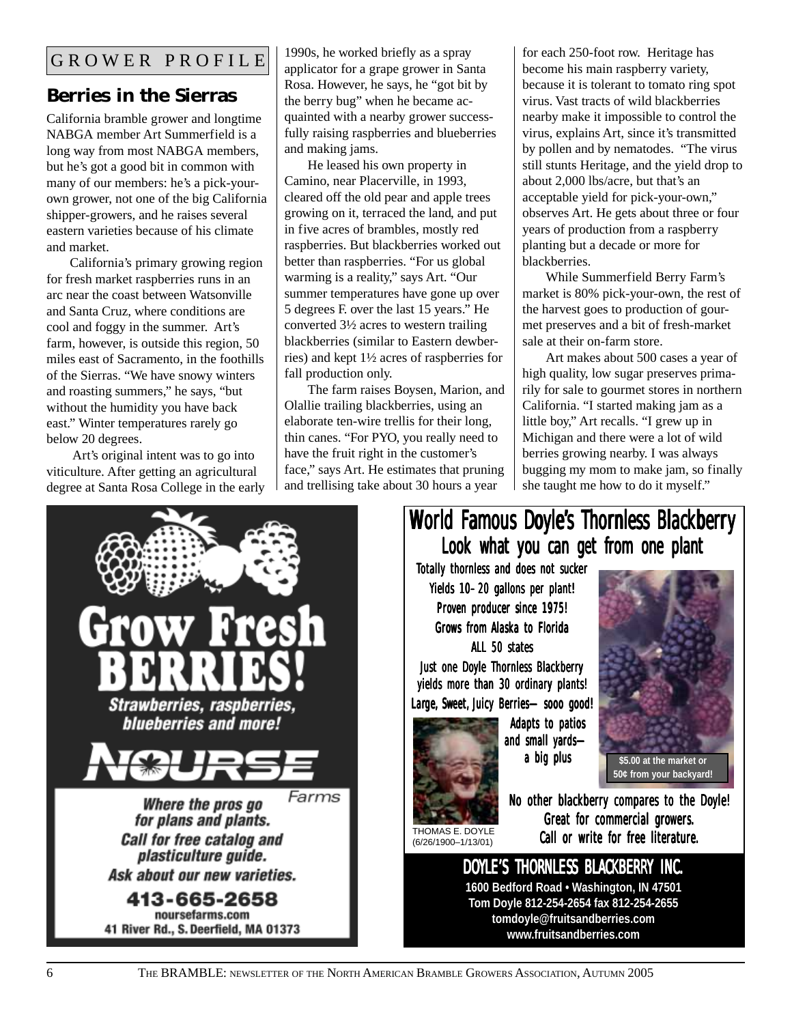### **Berries in the Sierras**

California bramble grower and longtime NABGA member Art Summerfield is a long way from most NABGA members, but he's got a good bit in common with many of our members: he's a pick-yourown grower, not one of the big California shipper-growers, and he raises several eastern varieties because of his climate and market.

California's primary growing region for fresh market raspberries runs in an arc near the coast between Watsonville and Santa Cruz, where conditions are cool and foggy in the summer. Art's farm, however, is outside this region, 50 miles east of Sacramento, in the foothills of the Sierras. "We have snowy winters and roasting summers," he says, "but without the humidity you have back east." Winter temperatures rarely go below 20 degrees.

 Art's original intent was to go into viticulture. After getting an agricultural degree at Santa Rosa College in the early 1990s, he worked briefly as a spray applicator for a grape grower in Santa Rosa. However, he says, he "got bit by the berry bug" when he became acquainted with a nearby grower successfully raising raspberries and blueberries and making jams.

He leased his own property in Camino, near Placerville, in 1993, cleared off the old pear and apple trees growing on it, terraced the land, and put in five acres of brambles, mostly red raspberries. But blackberries worked out better than raspberries. "For us global warming is a reality," says Art. "Our summer temperatures have gone up over 5 degrees F. over the last 15 years." He converted 3½ acres to western trailing blackberries (similar to Eastern dewberries) and kept 1½ acres of raspberries for fall production only.

The farm raises Boysen, Marion, and Olallie trailing blackberries, using an elaborate ten-wire trellis for their long, thin canes. "For PYO, you really need to have the fruit right in the customer's face," says Art. He estimates that pruning and trellising take about 30 hours a year

for each 250-foot row. Heritage has become his main raspberry variety, because it is tolerant to tomato ring spot virus. Vast tracts of wild blackberries nearby make it impossible to control the virus, explains Art, since it's transmitted by pollen and by nematodes. "The virus still stunts Heritage, and the yield drop to about 2,000 lbs/acre, but that's an acceptable yield for pick-your-own," observes Art. He gets about three or four years of production from a raspberry planting but a decade or more for blackberries.

While Summerfield Berry Farm's market is 80% pick-your-own, the rest of the harvest goes to production of gourmet preserves and a bit of fresh-market sale at their on-farm store.

Art makes about 500 cases a year of high quality, low sugar preserves primarily for sale to gourmet stores in northern California. "I started making jam as a little boy," Art recalls. "I grew up in Michigan and there were a lot of wild berries growing nearby. I was always bugging my mom to make jam, so finally she taught me how to do it myself."

# Strawberries, raspberries, blueberries and more! Farms Where the pros go for plans and plants. **Call for free catalog and** plasticulture guide. Ask about our new varieties. 413-665-2658 noursefarms.com 41 River Rd., S. Deerfield, MA 01373

### World Famous Doyle's Thornless Blackberry Look what you can get from one plant

Totally thornless and does not sucker Yields 10–20 gallons per plant! Proven producer since 1975! Grows from Alaska to Florida ALL 50 states

Just one Doyle Thornless Blackberry yields more than 30 ordinary plants! Large, Sweet, Juicy Berries-sooo good!



Adapts to patios and small yards a big plus



**50¢ from your backyard!**

THOMAS E. DOYLE (6/26/1900–1/13/01)

No other blackberry compares to the Doyle! Great for commercial growers. Call or write for free literature.

## DOYLE'S THORNLESS BLACKBERRY INC.

**1600 Bedford Road • Washington, IN 47501 Tom Doyle 812-254-2654 fax 812-254-2655 tomdoyle@fruitsandberries.com www.fruitsandberries.com**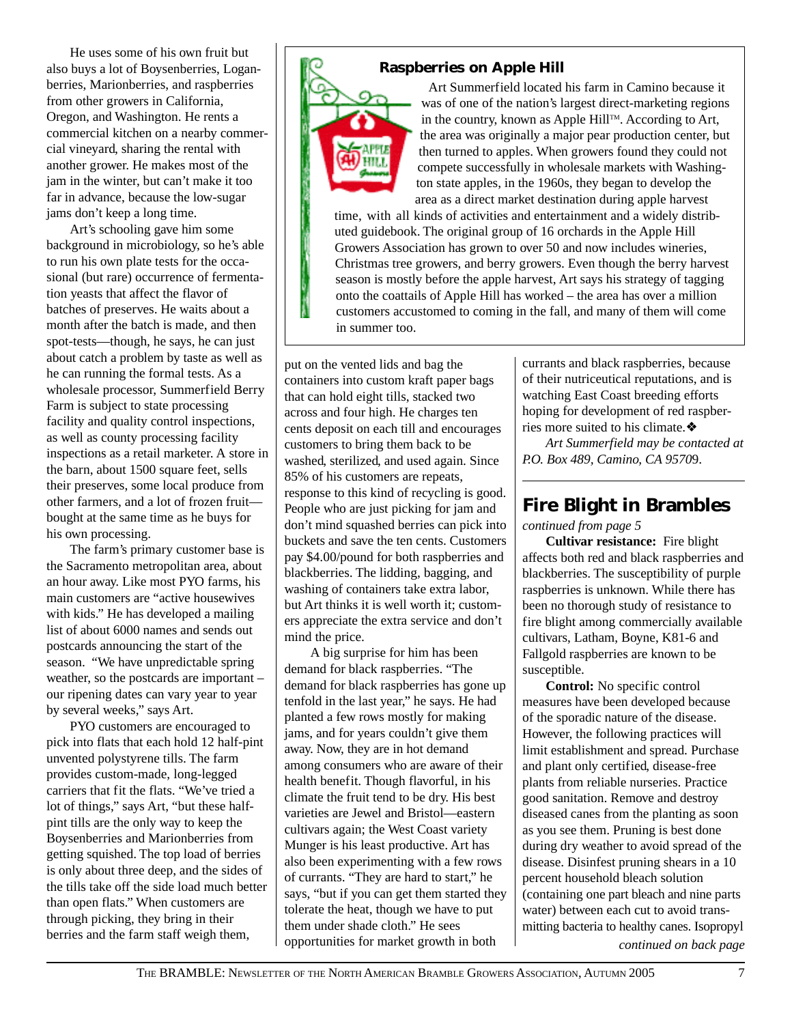He uses some of his own fruit but also buys a lot of Boysenberries, Loganberries, Marionberries, and raspberries from other growers in California, Oregon, and Washington. He rents a commercial kitchen on a nearby commercial vineyard, sharing the rental with another grower. He makes most of the jam in the winter, but can't make it too far in advance, because the low-sugar jams don't keep a long time.

Art's schooling gave him some background in microbiology, so he's able to run his own plate tests for the occasional (but rare) occurrence of fermentation yeasts that affect the flavor of batches of preserves. He waits about a month after the batch is made, and then spot-tests—though, he says, he can just about catch a problem by taste as well as he can running the formal tests. As a wholesale processor, Summerfield Berry Farm is subject to state processing facility and quality control inspections, as well as county processing facility inspections as a retail marketer. A store in the barn, about 1500 square feet, sells their preserves, some local produce from other farmers, and a lot of frozen fruit bought at the same time as he buys for his own processing.

The farm's primary customer base is the Sacramento metropolitan area, about an hour away. Like most PYO farms, his main customers are "active housewives with kids." He has developed a mailing list of about 6000 names and sends out postcards announcing the start of the season. "We have unpredictable spring weather, so the postcards are important – our ripening dates can vary year to year by several weeks," says Art.

PYO customers are encouraged to pick into flats that each hold 12 half-pint unvented polystyrene tills. The farm provides custom-made, long-legged carriers that fit the flats. "We've tried a lot of things," says Art, "but these halfpint tills are the only way to keep the Boysenberries and Marionberries from getting squished. The top load of berries is only about three deep, and the sides of the tills take off the side load much better than open flats." When customers are through picking, they bring in their berries and the farm staff weigh them,

#### **Raspberries on Apple Hill**



Art Summerfield located his farm in Camino because it was of one of the nation's largest direct-marketing regions in the country, known as Apple Hill<sup>TM</sup>. According to Art, the area was originally a major pear production center, but then turned to apples. When growers found they could not compete successfully in wholesale markets with Washington state apples, in the 1960s, they began to develop the area as a direct market destination during apple harvest

time, with all kinds of activities and entertainment and a widely distributed guidebook. The original group of 16 orchards in the Apple Hill Growers Association has grown to over 50 and now includes wineries, Christmas tree growers, and berry growers. Even though the berry harvest season is mostly before the apple harvest, Art says his strategy of tagging onto the coattails of Apple Hill has worked – the area has over a million customers accustomed to coming in the fall, and many of them will come in summer too.

put on the vented lids and bag the containers into custom kraft paper bags that can hold eight tills, stacked two across and four high. He charges ten cents deposit on each till and encourages customers to bring them back to be washed, sterilized, and used again. Since 85% of his customers are repeats, response to this kind of recycling is good. People who are just picking for jam and don't mind squashed berries can pick into buckets and save the ten cents. Customers pay \$4.00/pound for both raspberries and blackberries. The lidding, bagging, and washing of containers take extra labor, but Art thinks it is well worth it; customers appreciate the extra service and don't mind the price.

 A big surprise for him has been demand for black raspberries. "The demand for black raspberries has gone up tenfold in the last year," he says. He had planted a few rows mostly for making jams, and for years couldn't give them away. Now, they are in hot demand among consumers who are aware of their health benefit. Though flavorful, in his climate the fruit tend to be dry. His best varieties are Jewel and Bristol—eastern cultivars again; the West Coast variety Munger is his least productive. Art has also been experimenting with a few rows of currants. "They are hard to start," he says, "but if you can get them started they tolerate the heat, though we have to put them under shade cloth." He sees opportunities for market growth in both

currants and black raspberries, because of their nutriceutical reputations, and is watching East Coast breeding efforts hoping for development of red raspberries more suited to his climate.❖

*Art Summerfield may be contacted at P.O. Box 489, Camino, CA 9570*9.

### **Fire Blight in Brambles**

*continued from page 5*

**Cultivar resistance:** Fire blight affects both red and black raspberries and blackberries. The susceptibility of purple raspberries is unknown. While there has been no thorough study of resistance to fire blight among commercially available cultivars, Latham, Boyne, K81-6 and Fallgold raspberries are known to be susceptible.

**Control:** No specific control measures have been developed because of the sporadic nature of the disease. However, the following practices will limit establishment and spread. Purchase and plant only certified, disease-free plants from reliable nurseries. Practice good sanitation. Remove and destroy diseased canes from the planting as soon as you see them. Pruning is best done during dry weather to avoid spread of the disease. Disinfest pruning shears in a 10 percent household bleach solution (containing one part bleach and nine parts water) between each cut to avoid transmitting bacteria to healthy canes. Isopropyl *continued on back page*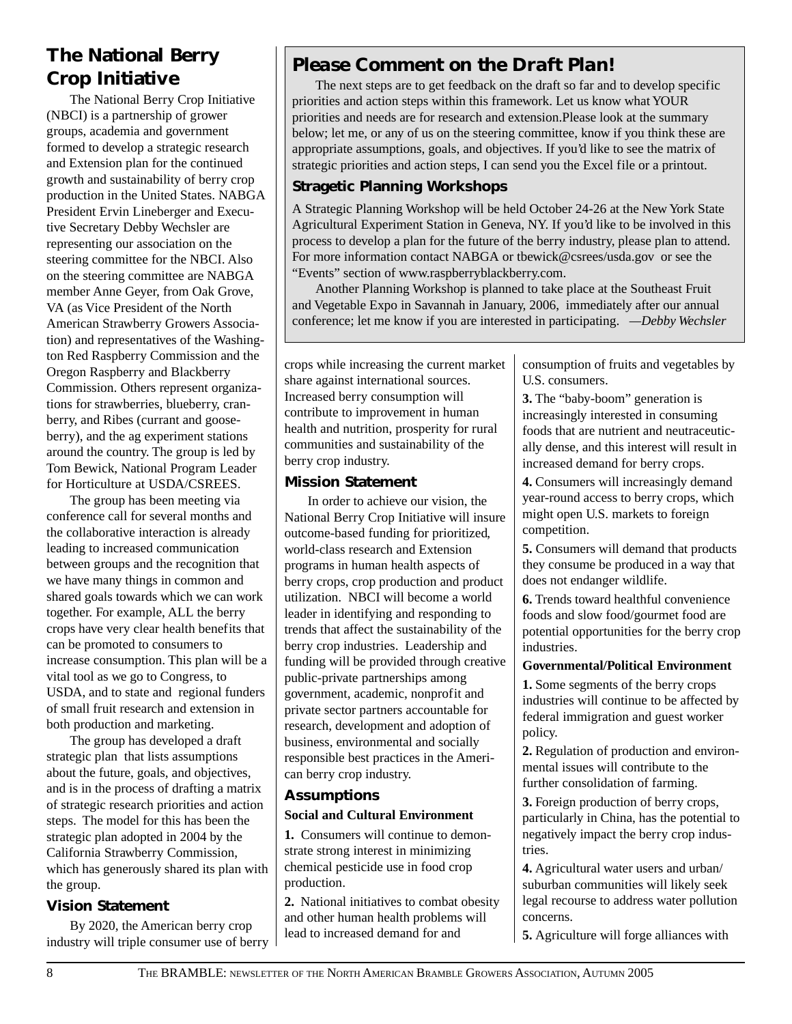### **The National Berry Crop Initiative**

The National Berry Crop Initiative (NBCI) is a partnership of grower groups, academia and government formed to develop a strategic research and Extension plan for the continued growth and sustainability of berry crop production in the United States. NABGA President Ervin Lineberger and Executive Secretary Debby Wechsler are representing our association on the steering committee for the NBCI. Also on the steering committee are NABGA member Anne Geyer, from Oak Grove, VA (as Vice President of the North American Strawberry Growers Association) and representatives of the Washington Red Raspberry Commission and the Oregon Raspberry and Blackberry Commission. Others represent organizations for strawberries, blueberry, cranberry, and Ribes (currant and gooseberry), and the ag experiment stations around the country. The group is led by Tom Bewick, National Program Leader for Horticulture at USDA/CSREES.

The group has been meeting via conference call for several months and the collaborative interaction is already leading to increased communication between groups and the recognition that we have many things in common and shared goals towards which we can work together. For example, ALL the berry crops have very clear health benefits that can be promoted to consumers to increase consumption. This plan will be a vital tool as we go to Congress, to USDA, and to state and regional funders of small fruit research and extension in both production and marketing.

The group has developed a draft strategic plan that lists assumptions about the future, goals, and objectives, and is in the process of drafting a matrix of strategic research priorities and action steps. The model for this has been the strategic plan adopted in 2004 by the California Strawberry Commission, which has generously shared its plan with the group.

### **Vision Statement**

By 2020, the American berry crop industry will triple consumer use of berry

### *Please Comment on the Draft Plan!*

The next steps are to get feedback on the draft so far and to develop specific priorities and action steps within this framework. Let us know what YOUR priorities and needs are for research and extension.Please look at the summary below; let me, or any of us on the steering committee, know if you think these are appropriate assumptions, goals, and objectives. If you'd like to see the matrix of strategic priorities and action steps, I can send you the Excel file or a printout.

### **Stragetic Planning Workshops**

A Strategic Planning Workshop will be held October 24-26 at the New York State Agricultural Experiment Station in Geneva, NY. If you'd like to be involved in this process to develop a plan for the future of the berry industry, please plan to attend. For more information contact NABGA or tbewick@csrees/usda.gov or see the "Events" section of www.raspberryblackberry.com.

Another Planning Workshop is planned to take place at the Southeast Fruit and Vegetable Expo in Savannah in January, 2006, immediately after our annual conference; let me know if you are interested in participating. *—Debby Wechsler*

crops while increasing the current market share against international sources. Increased berry consumption will contribute to improvement in human health and nutrition, prosperity for rural communities and sustainability of the berry crop industry.

#### **Mission Statement**

In order to achieve our vision, the National Berry Crop Initiative will insure outcome-based funding for prioritized, world-class research and Extension programs in human health aspects of berry crops, crop production and product utilization. NBCI will become a world leader in identifying and responding to trends that affect the sustainability of the berry crop industries. Leadership and funding will be provided through creative public-private partnerships among government, academic, nonprofit and private sector partners accountable for research, development and adoption of business, environmental and socially responsible best practices in the American berry crop industry.

### **Assumptions**

#### **Social and Cultural Environment**

**1.** Consumers will continue to demonstrate strong interest in minimizing chemical pesticide use in food crop production.

**2.** National initiatives to combat obesity and other human health problems will lead to increased demand for and

consumption of fruits and vegetables by U.S. consumers.

**3.** The "baby-boom" generation is increasingly interested in consuming foods that are nutrient and neutraceutically dense, and this interest will result in increased demand for berry crops.

**4.** Consumers will increasingly demand year-round access to berry crops, which might open U.S. markets to foreign competition.

**5.** Consumers will demand that products they consume be produced in a way that does not endanger wildlife.

**6.** Trends toward healthful convenience foods and slow food/gourmet food are potential opportunities for the berry crop industries.

#### **Governmental/Political Environment**

**1.** Some segments of the berry crops industries will continue to be affected by federal immigration and guest worker policy.

**2.** Regulation of production and environmental issues will contribute to the further consolidation of farming.

**3.** Foreign production of berry crops, particularly in China, has the potential to negatively impact the berry crop industries.

**4.** Agricultural water users and urban/ suburban communities will likely seek legal recourse to address water pollution concerns.

**5.** Agriculture will forge alliances with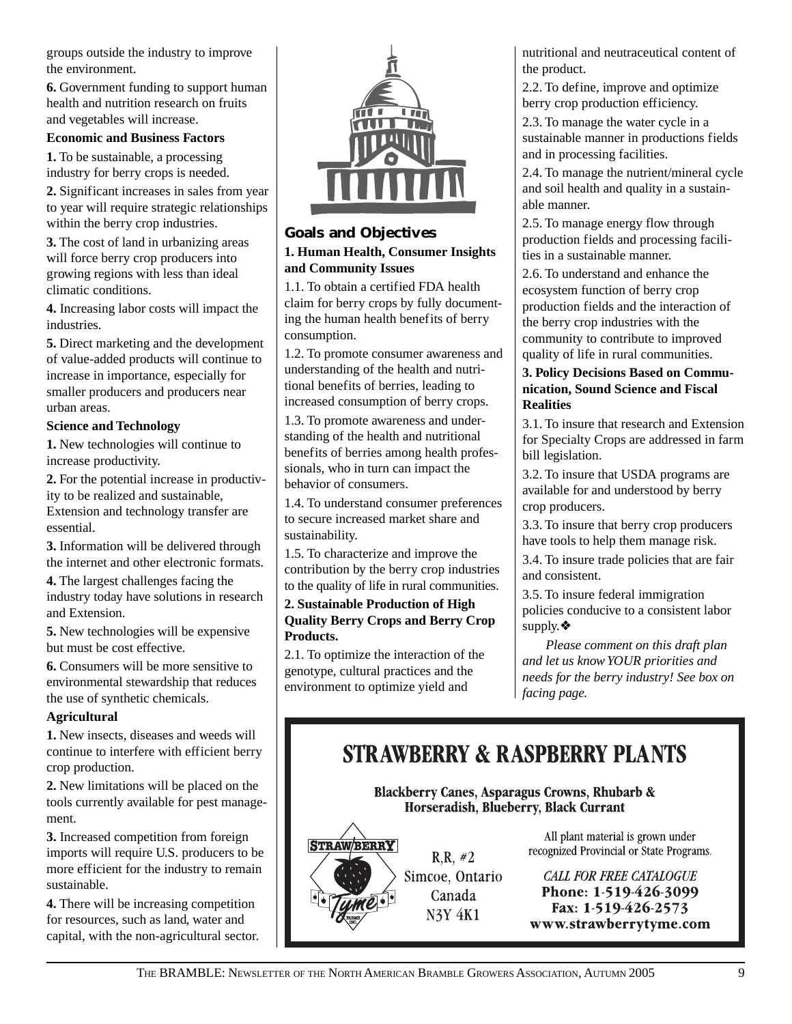groups outside the industry to improve the environment.

**6.** Government funding to support human health and nutrition research on fruits and vegetables will increase.

#### **Economic and Business Factors**

**1.** To be sustainable, a processing industry for berry crops is needed.

**2.** Significant increases in sales from year to year will require strategic relationships within the berry crop industries.

**3.** The cost of land in urbanizing areas will force berry crop producers into growing regions with less than ideal climatic conditions.

**4.** Increasing labor costs will impact the industries.

**5.** Direct marketing and the development of value-added products will continue to increase in importance, especially for smaller producers and producers near urban areas.

#### **Science and Technology**

**1.** New technologies will continue to increase productivity.

**2.** For the potential increase in productivity to be realized and sustainable, Extension and technology transfer are essential.

**3.** Information will be delivered through the internet and other electronic formats.

**4.** The largest challenges facing the industry today have solutions in research and Extension.

**5.** New technologies will be expensive but must be cost effective.

**6.** Consumers will be more sensitive to environmental stewardship that reduces the use of synthetic chemicals.

#### **Agricultural**

**1.** New insects, diseases and weeds will continue to interfere with efficient berry crop production.

**2.** New limitations will be placed on the tools currently available for pest management.

**3.** Increased competition from foreign imports will require U.S. producers to be more efficient for the industry to remain sustainable.

**4.** There will be increasing competition for resources, such as land, water and capital, with the non-agricultural sector.



#### **Goals and Objectives 1. Human Health, Consumer Insights and Community Issues**

1.1. To obtain a certified FDA health claim for berry crops by fully documenting the human health benefits of berry consumption.

1.2. To promote consumer awareness and understanding of the health and nutritional benefits of berries, leading to increased consumption of berry crops.

1.3. To promote awareness and understanding of the health and nutritional benefits of berries among health professionals, who in turn can impact the behavior of consumers.

1.4. To understand consumer preferences to secure increased market share and sustainability.

1.5. To characterize and improve the contribution by the berry crop industries to the quality of life in rural communities.

#### **2. Sustainable Production of High Quality Berry Crops and Berry Crop Products.**

2.1. To optimize the interaction of the genotype, cultural practices and the environment to optimize yield and

nutritional and neutraceutical content of the product.

2.2. To define, improve and optimize berry crop production efficiency.

2.3. To manage the water cycle in a sustainable manner in productions fields and in processing facilities.

2.4. To manage the nutrient/mineral cycle and soil health and quality in a sustainable manner.

2.5. To manage energy flow through production fields and processing facilities in a sustainable manner.

2.6. To understand and enhance the ecosystem function of berry crop production fields and the interaction of the berry crop industries with the community to contribute to improved quality of life in rural communities.

#### **3. Policy Decisions Based on Communication, Sound Science and Fiscal Realities**

3.1. To insure that research and Extension for Specialty Crops are addressed in farm bill legislation.

3.2. To insure that USDA programs are available for and understood by berry crop producers.

3.3. To insure that berry crop producers have tools to help them manage risk.

3.4. To insure trade policies that are fair and consistent.

3.5. To insure federal immigration policies conducive to a consistent labor supply.❖

*Please comment on this draft plan and let us know YOUR priorities and needs for the berry industry! See box on facing page.*

## **STRAWBERRY & RASPBERRY PLANTS**

**Blackberry Canes, Asparagus Crowns, Rhubarb &** Horseradish, Blueberry, Black Currant



 $R.R. \#2$ Simcoe, Ontario Canada N3Y 4K1

All plant material is grown under recognized Provincial or State Programs.

**CALL FOR FREE CATALOGUE** Phone: 1-519-426-3099 Fax: 1-519-426-2573 www.strawberrytyme.com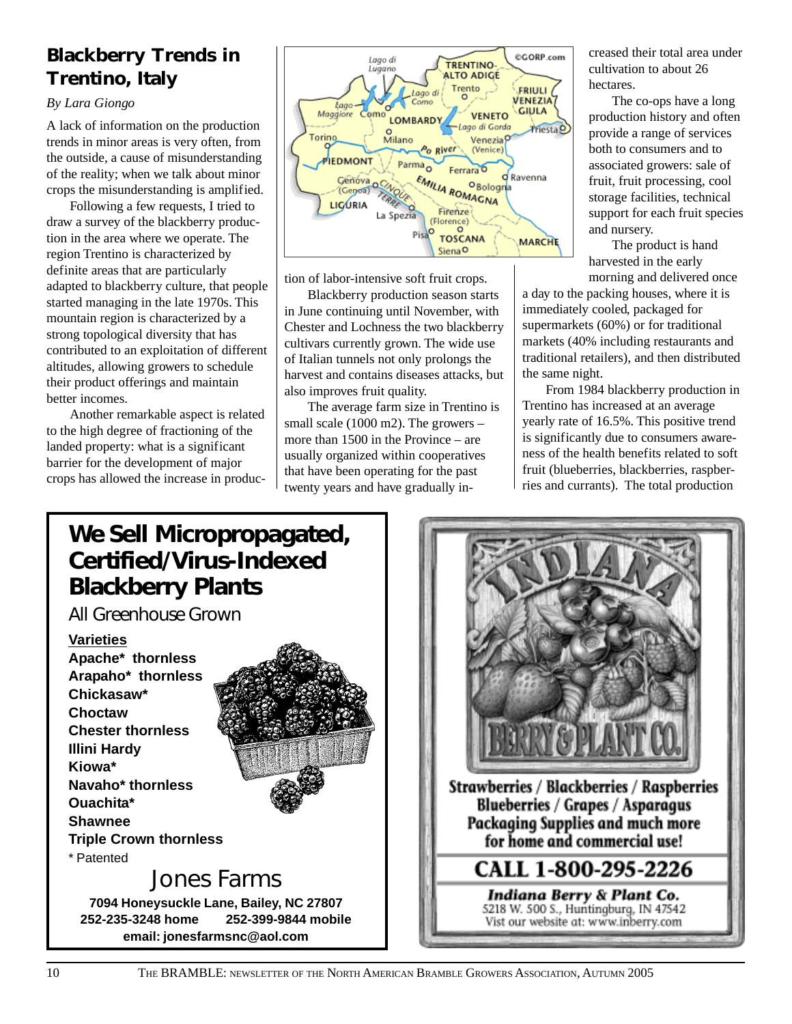### **Blackberry Trends in Trentino, Italy**

#### *By Lara Giongo*

A lack of information on the production trends in minor areas is very often, from the outside, a cause of misunderstanding of the reality; when we talk about minor crops the misunderstanding is amplified.

Following a few requests, I tried to draw a survey of the blackberry production in the area where we operate. The region Trentino is characterized by definite areas that are particularly adapted to blackberry culture, that people started managing in the late 1970s. This mountain region is characterized by a strong topological diversity that has contributed to an exploitation of different altitudes, allowing growers to schedule their product offerings and maintain better incomes.

Another remarkable aspect is related to the high degree of fractioning of the landed property: what is a significant barrier for the development of major crops has allowed the increase in produc-



tion of labor-intensive soft fruit crops.

Blackberry production season starts in June continuing until November, with Chester and Lochness the two blackberry cultivars currently grown. The wide use of Italian tunnels not only prolongs the harvest and contains diseases attacks, but also improves fruit quality.

The average farm size in Trentino is small scale (1000 m2). The growers – more than 1500 in the Province – are usually organized within cooperatives that have been operating for the past twenty years and have gradually increased their total area under cultivation to about 26 hectares.

The co-ops have a long production history and often provide a range of services both to consumers and to associated growers: sale of fruit, fruit processing, cool storage facilities, technical support for each fruit species and nursery.

The product is hand harvested in the early morning and delivered once

a day to the packing houses, where it is immediately cooled, packaged for supermarkets (60%) or for traditional markets (40% including restaurants and traditional retailers), and then distributed the same night.

From 1984 blackberry production in Trentino has increased at an average yearly rate of 16.5%. This positive trend is significantly due to consumers awareness of the health benefits related to soft fruit (blueberries, blackberries, raspberries and currants). The total production

### **We Sell Micropropagated, Certified/Virus-Indexed Blackberry Plants**

**7094 Honeysuckle Lane, Bailey, NC 27807 252-235-3248 home 252-399-9844 mobile email: jonesfarmsnc@aol.com**

*All Greenhouse Grown*

#### **Varieties**

**Apache\* thornless Arapaho\* thornless Chickasaw\* Choctaw Chester thornless Illini Hardy Kiowa\* Navaho\* thornless Ouachita\* Shawnee Triple Crown thornless** \* Patented Jones Farms



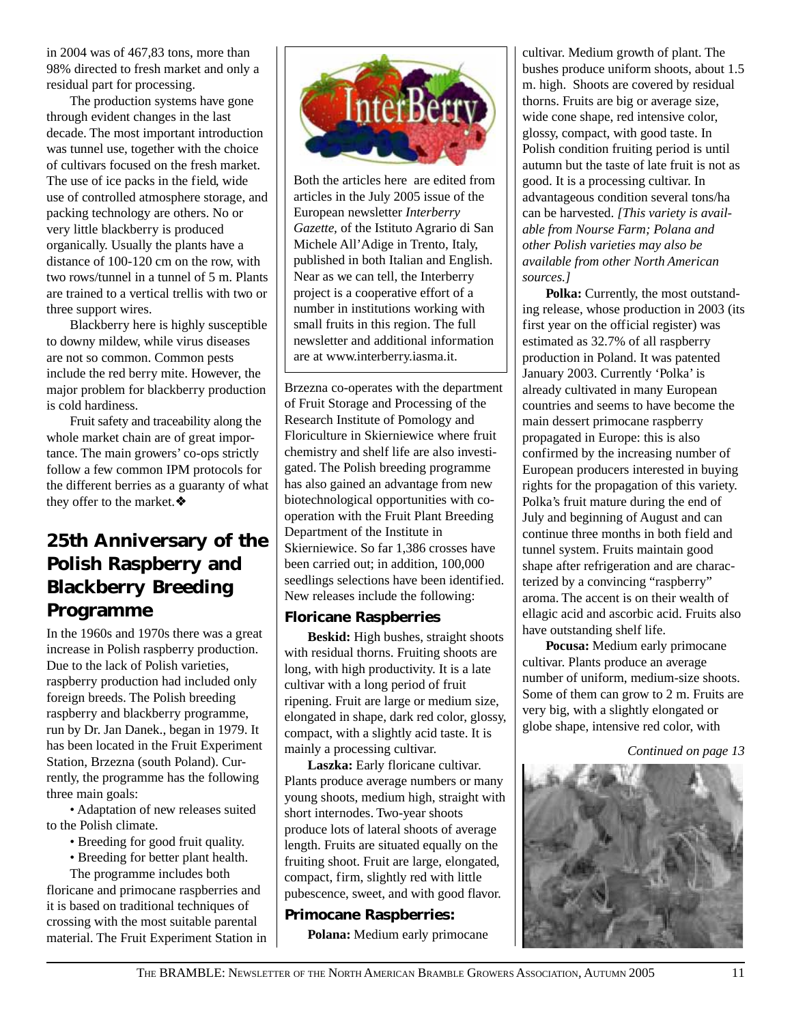in 2004 was of 467,83 tons, more than 98% directed to fresh market and only a residual part for processing.

The production systems have gone through evident changes in the last decade. The most important introduction was tunnel use, together with the choice of cultivars focused on the fresh market. The use of ice packs in the field, wide use of controlled atmosphere storage, and packing technology are others. No or very little blackberry is produced organically. Usually the plants have a distance of 100-120 cm on the row, with two rows/tunnel in a tunnel of 5 m. Plants are trained to a vertical trellis with two or three support wires.

Blackberry here is highly susceptible to downy mildew, while virus diseases are not so common. Common pests include the red berry mite. However, the major problem for blackberry production is cold hardiness.

Fruit safety and traceability along the whole market chain are of great importance. The main growers' co-ops strictly follow a few common IPM protocols for the different berries as a guaranty of what they offer to the market.❖

### **25th Anniversary of the Polish Raspberry and Blackberry Breeding Programme**

In the 1960s and 1970s there was a great increase in Polish raspberry production. Due to the lack of Polish varieties, raspberry production had included only foreign breeds. The Polish breeding raspberry and blackberry programme, run by Dr. Jan Danek., began in 1979. It has been located in the Fruit Experiment Station, Brzezna (south Poland). Currently, the programme has the following three main goals:

• Adaptation of new releases suited to the Polish climate.

- Breeding for good fruit quality.
- Breeding for better plant health.

The programme includes both floricane and primocane raspberries and it is based on traditional techniques of crossing with the most suitable parental material. The Fruit Experiment Station in



Both the articles here are edited from articles in the July 2005 issue of the European newsletter *Interberry Gazette,* of the Istituto Agrario di San Michele All'Adige in Trento, Italy, published in both Italian and English. Near as we can tell, the Interberry project is a cooperative effort of a number in institutions working with small fruits in this region. The full newsletter and additional information are at www.interberry.iasma.it.

Brzezna co-operates with the department of Fruit Storage and Processing of the Research Institute of Pomology and Floriculture in Skierniewice where fruit chemistry and shelf life are also investigated. The Polish breeding programme has also gained an advantage from new biotechnological opportunities with cooperation with the Fruit Plant Breeding Department of the Institute in Skierniewice. So far 1,386 crosses have been carried out; in addition, 100,000 seedlings selections have been identified. New releases include the following:

#### **Floricane Raspberries**

**Beskid:** High bushes, straight shoots with residual thorns. Fruiting shoots are long, with high productivity. It is a late cultivar with a long period of fruit ripening. Fruit are large or medium size, elongated in shape, dark red color, glossy, compact, with a slightly acid taste. It is mainly a processing cultivar.

Laszka: Early floricane cultivar. Plants produce average numbers or many young shoots, medium high, straight with short internodes. Two-year shoots produce lots of lateral shoots of average length. Fruits are situated equally on the fruiting shoot. Fruit are large, elongated, compact, firm, slightly red with little pubescence, sweet, and with good flavor.

### **Primocane Raspberries:**

**Polana:** Medium early primocane

cultivar. Medium growth of plant. The bushes produce uniform shoots, about 1.5 m. high. Shoots are covered by residual thorns. Fruits are big or average size, wide cone shape, red intensive color, glossy, compact, with good taste. In Polish condition fruiting period is until autumn but the taste of late fruit is not as good. It is a processing cultivar. In advantageous condition several tons/ha can be harvested. *[This variety is available from Nourse Farm; Polana and other Polish varieties may also be available from other North American sources.]*

**Polka:** Currently, the most outstanding release, whose production in 2003 (its first year on the official register) was estimated as 32.7% of all raspberry production in Poland. It was patented January 2003. Currently 'Polka' is already cultivated in many European countries and seems to have become the main dessert primocane raspberry propagated in Europe: this is also confirmed by the increasing number of European producers interested in buying rights for the propagation of this variety. Polka's fruit mature during the end of July and beginning of August and can continue three months in both field and tunnel system. Fruits maintain good shape after refrigeration and are characterized by a convincing "raspberry" aroma. The accent is on their wealth of ellagic acid and ascorbic acid. Fruits also have outstanding shelf life.

**Pocusa:** Medium early primocane cultivar. Plants produce an average number of uniform, medium-size shoots. Some of them can grow to 2 m. Fruits are very big, with a slightly elongated or globe shape, intensive red color, with

*Continued on page 13*

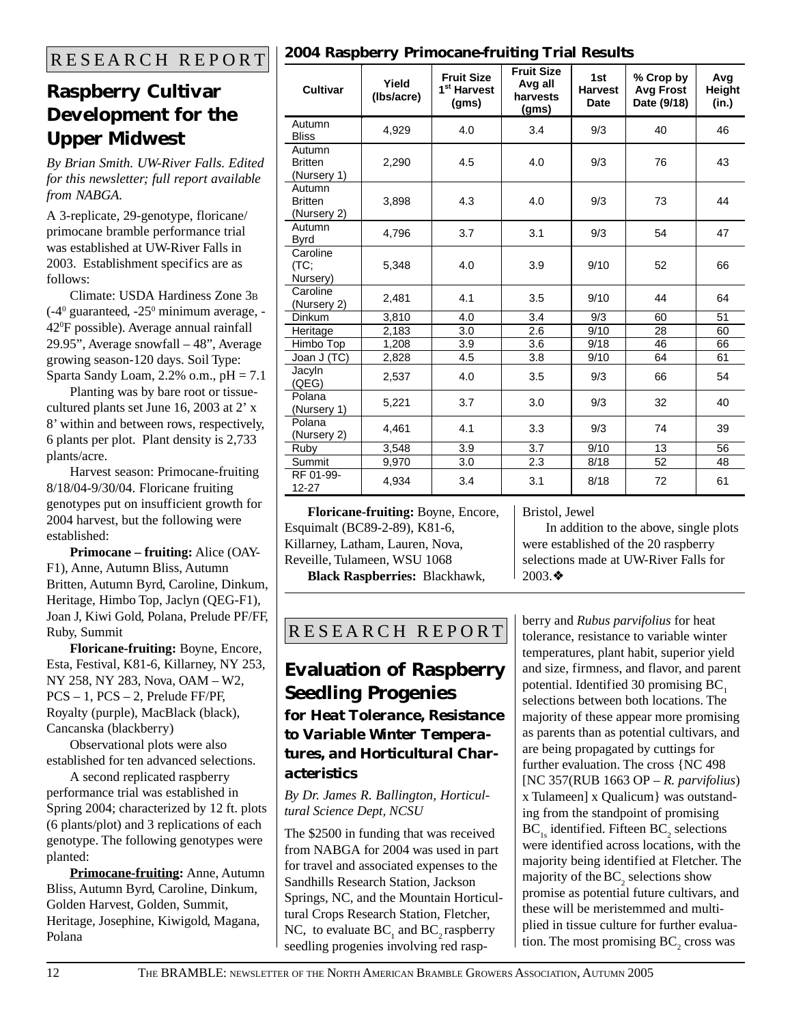### **Raspberry Cultivar Development for the Upper Midwest**

*By Brian Smith. UW-River Falls. Edited for this newsletter; full report available from NABGA.*

A 3-replicate, 29-genotype, floricane/ primocane bramble performance trial was established at UW-River Falls in 2003. Establishment specifics are as follows:

Climate: USDA Hardiness Zone 3B  $(-4^{\circ}$  guaranteed,  $-25^{\circ}$  minimum average,  $-$ 420 F possible). Average annual rainfall 29.95", Average snowfall – 48", Average growing season-120 days. Soil Type: Sparta Sandy Loam,  $2.2\%$  o.m.,  $pH = 7.1$ 

Planting was by bare root or tissuecultured plants set June 16, 2003 at 2' x 8' within and between rows, respectively, 6 plants per plot. Plant density is 2,733 plants/acre.

Harvest season: Primocane-fruiting 8/18/04-9/30/04. Floricane fruiting genotypes put on insufficient growth for 2004 harvest, but the following were established:

**Primocane – fruiting:** Alice (OAY-F1), Anne, Autumn Bliss, Autumn Britten, Autumn Byrd, Caroline, Dinkum, Heritage, Himbo Top, Jaclyn (QEG-F1), Joan J, Kiwi Gold, Polana, Prelude PF/FF, Ruby, Summit

**Floricane-fruiting:** Boyne, Encore, Esta, Festival, K81-6, Killarney, NY 253, NY 258, NY 283, Nova, OAM – W2, PCS – 1, PCS – 2, Prelude FF/PF, Royalty (purple), MacBlack (black), Cancanska (blackberry)

Observational plots were also established for ten advanced selections.

A second replicated raspberry performance trial was established in Spring 2004; characterized by 12 ft. plots (6 plants/plot) and 3 replications of each genotype. The following genotypes were planted:

**Primocane-fruiting:** Anne, Autumn Bliss, Autumn Byrd, Caroline, Dinkum, Golden Harvest, Golden, Summit, Heritage, Josephine, Kiwigold, Magana, Polana

|  | <b>Cultivar</b>                         | Yield<br>(Ibs/acre) | <b>Fruit Size</b><br>1 <sup>st</sup> Harvest<br>(gms) | <b>Fruit Size</b><br>Avg all<br>harvests<br>(gms) | 1st<br><b>Harvest</b><br>Date | % Crop by<br><b>Avg Frost</b><br>Date (9/18) | Avg<br>Height<br>(in.) |
|--|-----------------------------------------|---------------------|-------------------------------------------------------|---------------------------------------------------|-------------------------------|----------------------------------------------|------------------------|
|  | Autumn<br><b>Bliss</b>                  | 4,929               | 4.0                                                   | 3.4                                               | 9/3                           | 40                                           | 46                     |
|  | Autumn<br><b>Britten</b><br>(Nursery 1) | 2,290               | 4.5                                                   | 4.0                                               | 9/3                           | 76                                           | 43                     |
|  | Autumn<br><b>Britten</b><br>(Nursery 2) | 3,898               | 4.3                                                   | 4.0                                               | 9/3                           | 73                                           | 44                     |
|  | Autumn<br><b>Byrd</b>                   | 4,796               | 3.7                                                   | 3.1                                               | 9/3                           | 54                                           | 47                     |
|  | Caroline<br>(TC;<br>Nursery)            | 5,348               | 4.0                                                   | 3.9                                               | 9/10                          | 52                                           | 66                     |
|  | Caroline<br>(Nursery 2)                 | 2,481               | 4.1                                                   | 3.5                                               | 9/10                          | 44                                           | 64                     |
|  | Dinkum                                  | 3,810               | 4.0                                                   | 3.4                                               | 9/3                           | 60                                           | 51                     |
|  | Heritage                                | 2,183               | 3.0                                                   | 2.6                                               | 9/10                          | 28                                           | 60                     |
|  | Himbo Top                               | 1,208               | 3.9                                                   | 3.6                                               | 9/18                          | 46                                           | 66                     |
|  | Joan J (TC)                             | 2,828               | 4.5                                                   | 3.8                                               | 9/10                          | 64                                           | 61                     |
|  | Jacyln<br>(QEG)                         | 2,537               | 4.0                                                   | 3.5                                               | 9/3                           | 66                                           | 54                     |
|  | Polana<br>(Nursery 1)                   | 5,221               | 3.7                                                   | 3.0                                               | 9/3                           | 32                                           | 40                     |
|  | Polana<br>(Nursery 2)                   | 4,461               | 4.1                                                   | 3.3                                               | 9/3                           | 74                                           | 39                     |
|  | Ruby                                    | 3,548               | 3.9                                                   | 3.7                                               | 9/10                          | 13                                           | 56                     |
|  | Summit                                  | 9,970               | 3.0                                                   | 2.3                                               | 8/18                          | 52                                           | 48                     |
|  | RF 01-99-<br>12-27                      | 4,934               | 3.4                                                   | 3.1                                               | 8/18                          | 72                                           | 61                     |

**Floricane-fruiting:** Boyne, Encore, Esquimalt (BC89-2-89), K81-6, Killarney, Latham, Lauren, Nova, Reveille, Tulameen, WSU 1068

**Black Raspberries:** Blackhawk,

Bristol, Jewel

In addition to the above, single plots were established of the 20 raspberry selections made at UW-River Falls for 2003.❖

### R E S E A R C H R E P O R T

### **Evaluation of Raspberry Seedling Progenies** *for Heat Tolerance, Resistance to Variable Winter Temperatures, and Horticultural Characteristics*

*By Dr. James R. Ballington, Horticultural Science Dept, NCSU*

The \$2500 in funding that was received from NABGA for 2004 was used in part for travel and associated expenses to the Sandhills Research Station, Jackson Springs, NC, and the Mountain Horticultural Crops Research Station, Fletcher, NC, to evaluate  $BC_1$  and  $BC_2$  raspberry seedling progenies involving red raspberry and *Rubus parvifolius* for heat tolerance, resistance to variable winter temperatures, plant habit, superior yield and size, firmness, and flavor, and parent potential. Identified 30 promising BC, selections between both locations. The majority of these appear more promising as parents than as potential cultivars, and are being propagated by cuttings for further evaluation. The cross {NC 498 [NC 357(RUB 1663 OP – *R. parvifolius*) x Tulameen] x Qualicum} was outstanding from the standpoint of promising  $BC_{1s}$  identified. Fifteen  $BC_{2}$  selections were identified across locations, with the majority being identified at Fletcher. The majority of the  $\mathrm{BC}_2$  selections show promise as potential future cultivars, and these will be meristemmed and multiplied in tissue culture for further evaluation. The most promising  $BC_2$  cross was

### R E S E A R C H R E P O R T **2004 Raspberry Primocane-fruiting Trial Results**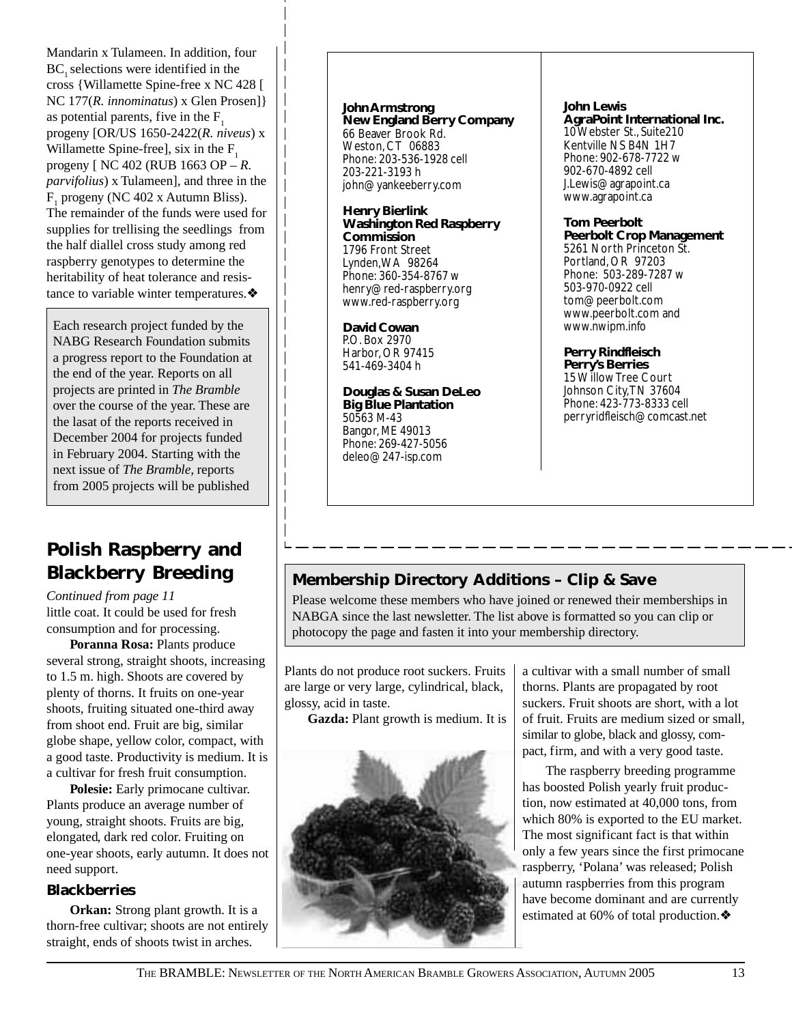Mandarin x Tulameen. In addition, four BC, selections were identified in the cross {Willamette Spine-free x NC 428 [ NC 177(*R. innominatus*) x Glen Prosen]} as potential parents, five in the  $F<sub>1</sub>$ progeny [OR/US 1650-2422(*R. niveus*) x Willamette Spine-free], six in the  $F<sub>1</sub>$ progeny [ NC 402 (RUB 1663 OP – *R. parvifolius*) x Tulameen], and three in the  $F_1$  progeny (NC 402 x Autumn Bliss). The remainder of the funds were used for supplies for trellising the seedlings from the half diallel cross study among red raspberry genotypes to determine the heritability of heat tolerance and resistance to variable winter temperatures.❖

Each research project funded by the NABG Research Foundation submits a progress report to the Foundation at the end of the year. Reports on all projects are printed in *The Bramble* over the course of the year. These are the lasat of the reports received in December 2004 for projects funded in February 2004. Starting with the next issue of *The Bramble,* reports from 2005 projects will be published

### **Polish Raspberry and Blackberry Breeding**

little coat. It could be used for fresh consumption and for processing. *Continued from page 11*

**Poranna Rosa:** Plants produce several strong, straight shoots, increasing to 1.5 m. high. Shoots are covered by plenty of thorns. It fruits on one-year shoots, fruiting situated one-third away from shoot end. Fruit are big, similar globe shape, yellow color, compact, with a good taste. Productivity is medium. It is a cultivar for fresh fruit consumption.

**Polesie:** Early primocane cultivar. Plants produce an average number of young, straight shoots. Fruits are big, elongated, dark red color. Fruiting on one-year shoots, early autumn. It does not need support.

### **Blackberries**

**Orkan:** Strong plant growth. It is a thorn-free cultivar; shoots are not entirely straight, ends of shoots twist in arches.

**John Armstrong New England Berry Company** 66 Beaver Brook Rd. Weston, CT 06883 Phone: 203-536-1928 cell 203-221-3193 h john@yankeeberry.com

#### **Henry Bierlink Washington Red Raspberry Commission** 1796 Front Street Lynden, WA 98264 Phone: 360-354-8767 w henry@red-raspberry.org www.red-raspberry.org

**David Cowan** P.O. Box 2970 Harbor, OR 97415 541-469-3404 h

**Douglas & Susan DeLeo Big Blue Plantation** 50563 M-43 Bangor, ME 49013 Phone: 269-427-5056 deleo@247-isp.com

**John Lewis**

**AgraPoint International Inc.** 10 Webster St., Suite210 Kentville NS B4N 1H7 Phone: 902-678-7722 w 902-670-4892 cell J.Lewis@agrapoint.ca www.agrapoint.ca

#### **Tom Peerbolt**

**Peerbolt Crop Management** 5261 North Princeton St. Portland, OR 97203 Phone: 503-289-7287 w 503-970-0922 cell tom@peerbolt.com www.peerbolt.com and www.nwipm.info

#### **Perry Rindfleisch**

**Perry's Berries** 15 Willow Tree Court Johnson City, TN 37604 Phone: 423-773-8333 cell perryridfleisch@comcast.net

### **Membership Directory Additions – Clip & Save**

Please welcome these members who have joined or renewed their memberships in NABGA since the last newsletter. The list above is formatted so you can clip or photocopy the page and fasten it into your membership directory.

Plants do not produce root suckers. Fruits are large or very large, cylindrical, black, glossy, acid in taste.

**Gazda:** Plant growth is medium. It is



a cultivar with a small number of small thorns. Plants are propagated by root suckers. Fruit shoots are short, with a lot of fruit. Fruits are medium sized or small, similar to globe, black and glossy, compact, firm, and with a very good taste.

The raspberry breeding programme has boosted Polish yearly fruit production, now estimated at 40,000 tons, from which 80% is exported to the EU market. The most significant fact is that within only a few years since the first primocane raspberry, 'Polana' was released; Polish autumn raspberries from this program have become dominant and are currently estimated at 60% of total production.❖